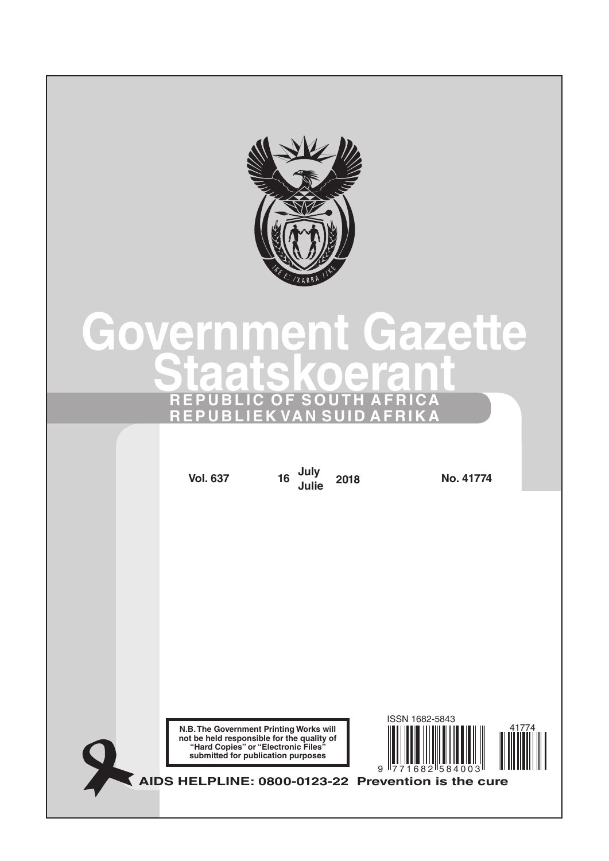

## **Government Gazette Staatskoerant REPUBLIC OF SOUTH AFRICA REPUBLIEK VAN SUID AFRIKA**

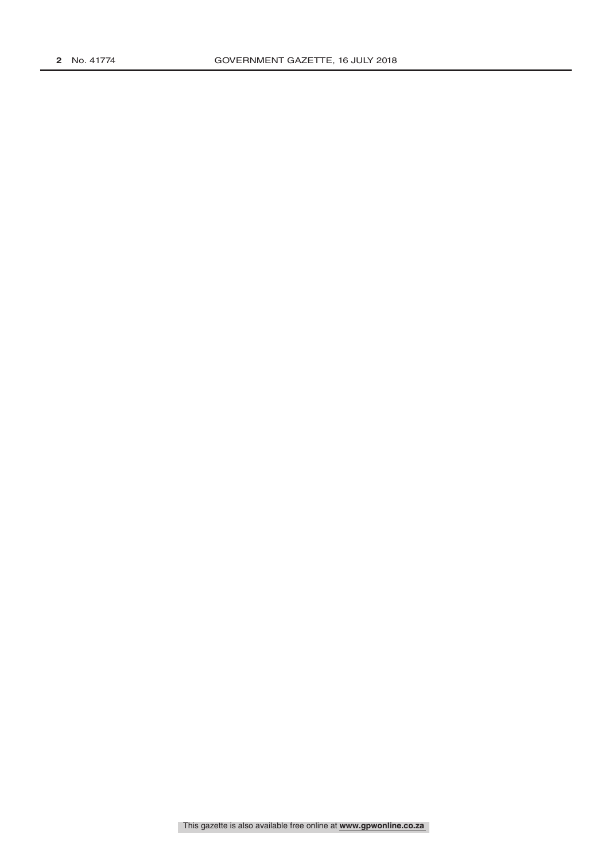This gazette is also available free online at **www.gpwonline.co.za**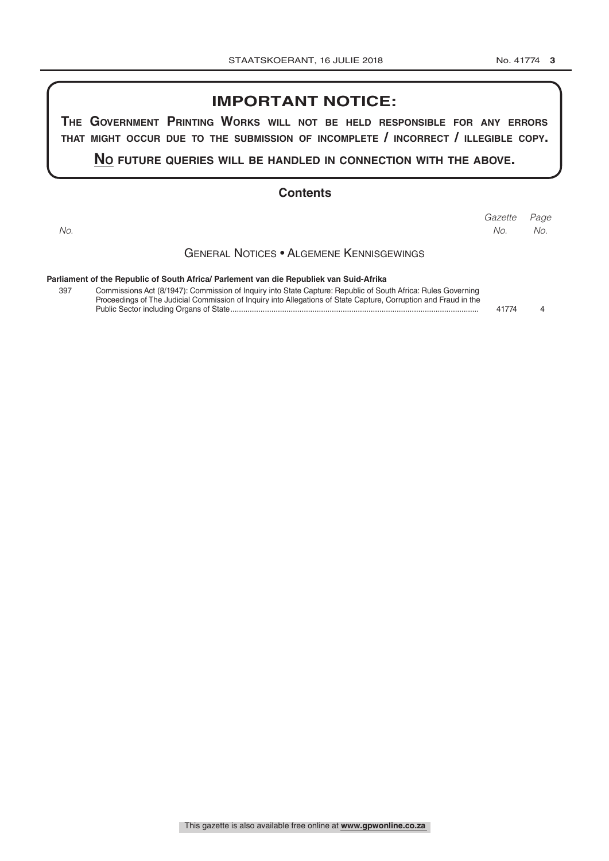*Page Gazette*

*No.*

#### **IMPORTANT NOTICE:**

**The GovernmenT PrinTinG Works Will noT be held resPonsible for any errors ThaT miGhT occur due To The submission of incomPleTe / incorrecT / illeGible coPy.**

**no fuTure queries Will be handled in connecTion WiTh The above.**

#### **Contents**

*No. No.*

#### General Notices • Algemene Kennisgewings

**Parliament of the Republic of South Africa/ Parlement van die Republiek van Suid-Afrika**

| 397 | Commissions Act (8/1947): Commission of Inquiry into State Capture: Republic of South Africa: Rules Governing    |       |   |
|-----|------------------------------------------------------------------------------------------------------------------|-------|---|
|     | Proceedings of The Judicial Commission of Inquiry into Allegations of State Capture, Corruption and Fraud in the |       |   |
|     |                                                                                                                  | 41774 | 4 |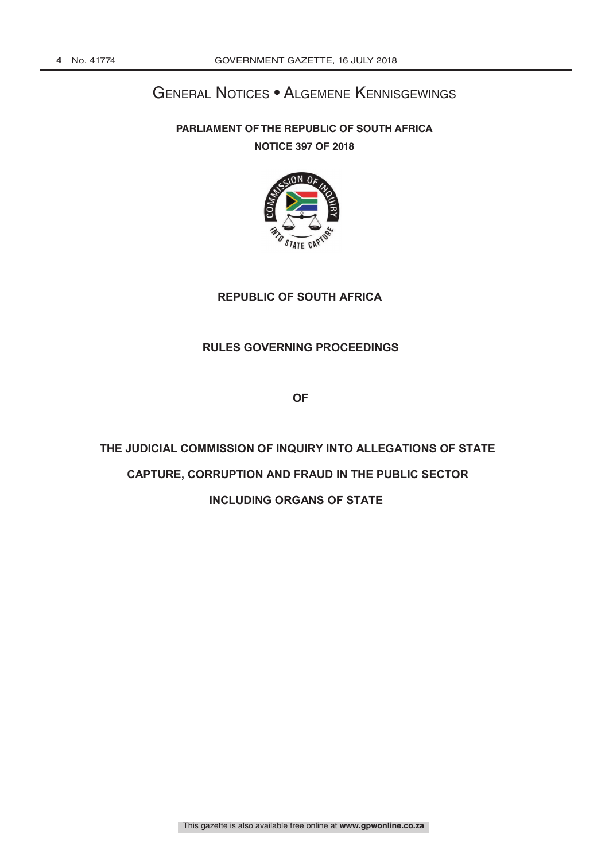### General Notices • Algemene Kennisgewings

#### **PARLIAMENT OF THE REPUBLIC OF SOUTH AFRICA NOTICE 397 OF 2018**



#### **REPUBLIC OF SOUTH AFRICA**

#### **RULES GOVERNING PROCEEDINGS**

**OF**

**THE JUDICIAL COMMISSION OF INQUIRY INTO ALLEGATIONS OF STATE CAPTURE, CORRUPTION AND FRAUD IN THE PUBLIC SECTOR INCLUDING ORGANS OF STATE**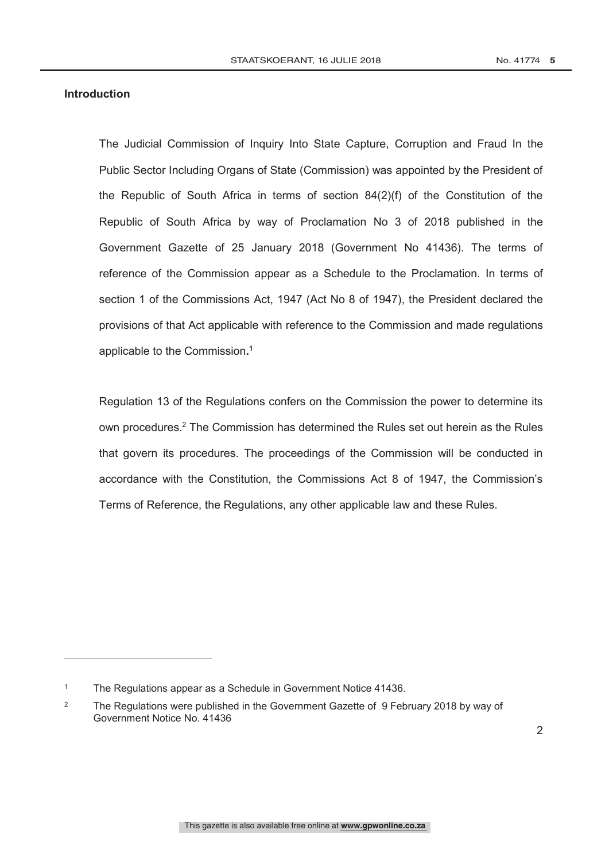#### **Introduction**

-

The Judicial Commission of Inquiry Into State Capture, Corruption and Fraud In the Public Sector Including Organs of State (Commission) was appointed by the President of the Republic of South Africa in terms of section 84(2)(f) of the Constitution of the Republic of South Africa by way of Proclamation No 3 of 2018 published in the Government Gazette of 25 January 2018 (Government No 41436). The terms of reference of the Commission appear as a Schedule to the Proclamation. In terms of section 1 of the Commissions Act, 1947 (Act No 8 of 1947), the President declared the provisions of that Act applicable with reference to the Commission and made regulations applicable to the Commission**. 1**

Regulation 13 of the Regulations confers on the Commission the power to determine its own procedures.2 The Commission has determined the Rules set out herein as the Rules that govern its procedures. The proceedings of the Commission will be conducted in accordance with the Constitution, the Commissions Act 8 of 1947, the Commission's Terms of Reference, the Regulations, any other applicable law and these Rules.

<sup>&</sup>lt;sup>1</sup> The Regulations appear as a Schedule in Government Notice 41436.

<sup>&</sup>lt;sup>2</sup> The Regulations were published in the Government Gazette of 9 February 2018 by way of Government Notice No. 41436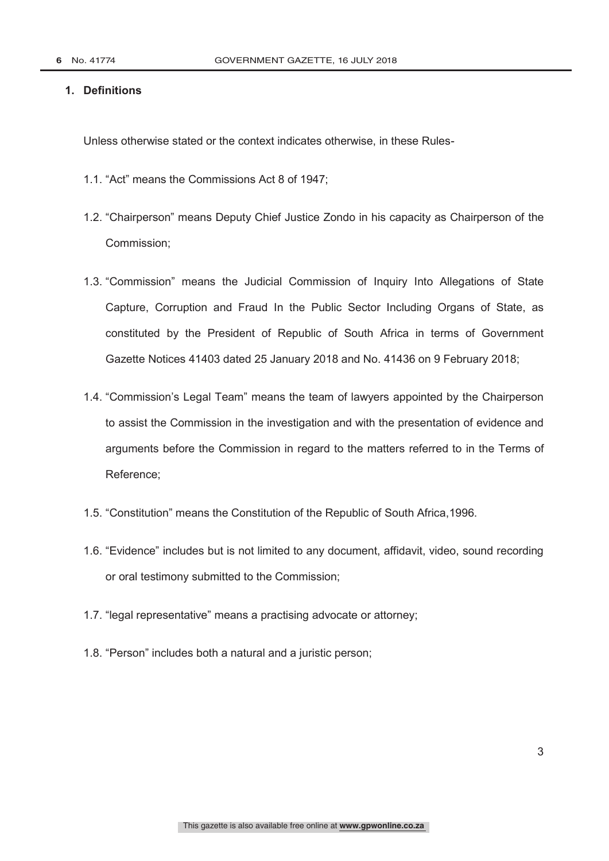#### **1. Definitions**

Unless otherwise stated or the context indicates otherwise, in these Rules-

- 1.1. "Act" means the Commissions Act 8 of 1947;
- 1.2. "Chairperson" means Deputy Chief Justice Zondo in his capacity as Chairperson of the Commission;
- 1.3. "Commission" means the Judicial Commission of Inquiry Into Allegations of State Capture, Corruption and Fraud In the Public Sector Including Organs of State, as constituted by the President of Republic of South Africa in terms of Government Gazette Notices 41403 dated 25 January 2018 and No. 41436 on 9 February 2018;
- 1.4. "Commission's Legal Team" means the team of lawyers appointed by the Chairperson to assist the Commission in the investigation and with the presentation of evidence and arguments before the Commission in regard to the matters referred to in the Terms of Reference;
- 1.5. "Constitution" means the Constitution of the Republic of South Africa,1996.
- 1.6. "Evidence" includes but is not limited to any document, affidavit, video, sound recording or oral testimony submitted to the Commission;
- 1.7. "legal representative" means a practising advocate or attorney;
- 1.8. "Person" includes both a natural and a juristic person;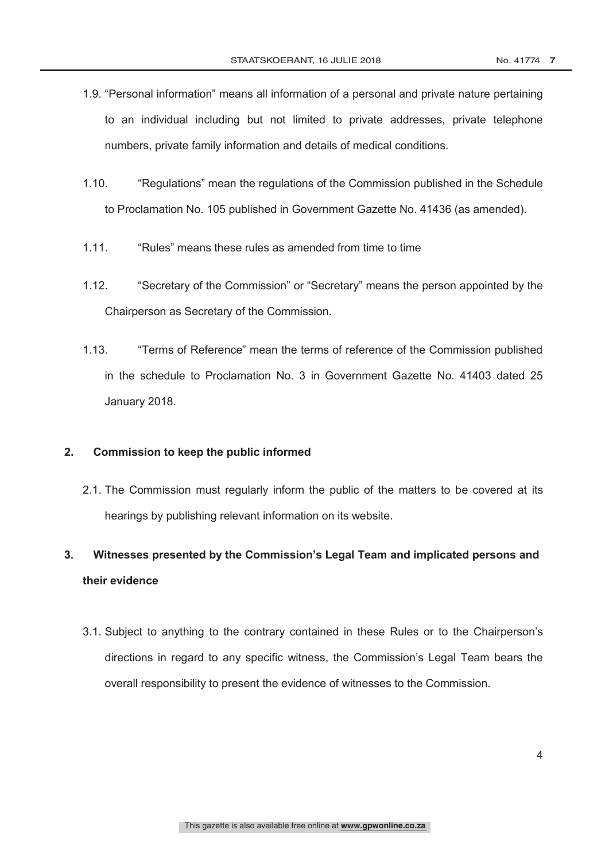- 1.9. "Personal information" means all information of a personal and private nature pertaining to an individual including but not limited to private addresses, private telephone numbers, private family information and details of medical conditions.
- 1.10. "Regulations" mean the regulations of the Commission published in the Schedule to Proclamation No. 105 published in Government Gazette No. 41436 (as amended).
- 1.11. "Rules" means these rules as amended from time to time
- 1.12. "Secretary of the Commission" or "Secretary" means the person appointed by the Chairperson as Secretary of the Commission.
- 1.13. "Terms of Reference" mean the terms of reference of the Commission published in the schedule to Proclamation No. 3 in Government Gazette No. 41403 dated 25 January 2018.

#### **2. Commission to keep the public informed**

2.1. The Commission must regularly inform the public of the matters to be covered at its hearings by publishing relevant information on its website.

## **3. Witnesses presented by the Commission's Legal Team and implicated persons and their evidence**

3.1. Subject to anything to the contrary contained in these Rules or to the Chairperson's directions in regard to any specific witness, the Commission's Legal Team bears the overall responsibility to present the evidence of witnesses to the Commission.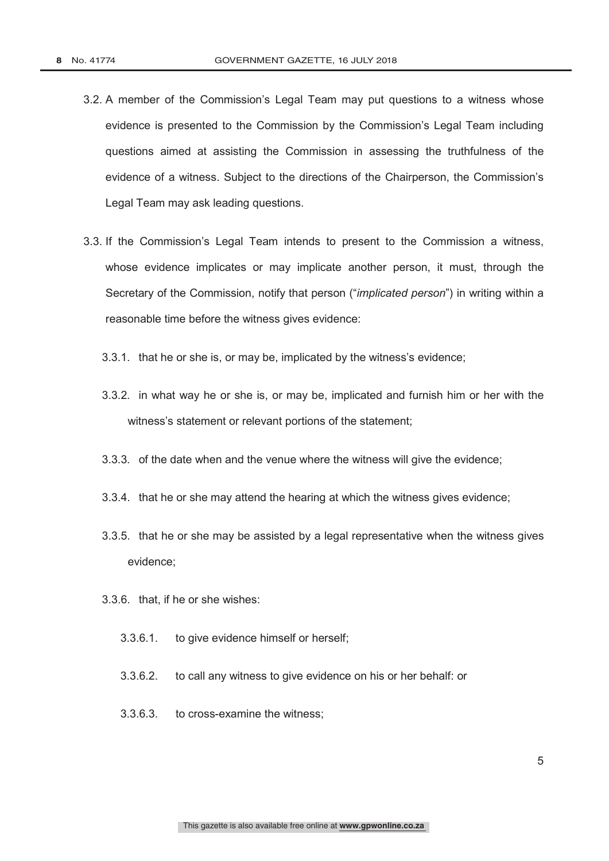- 3.2. A member of the Commission's Legal Team may put questions to a witness whose evidence is presented to the Commission by the Commission's Legal Team including questions aimed at assisting the Commission in assessing the truthfulness of the evidence of a witness. Subject to the directions of the Chairperson, the Commission's Legal Team may ask leading questions.
- 3.3. If the Commission's Legal Team intends to present to the Commission a witness, whose evidence implicates or may implicate another person, it must, through the Secretary of the Commission, notify that person ("*implicated person*") in writing within a reasonable time before the witness gives evidence:
	- 3.3.1. that he or she is, or may be, implicated by the witness's evidence;
	- 3.3.2. in what way he or she is, or may be, implicated and furnish him or her with the witness's statement or relevant portions of the statement;
	- 3.3.3. of the date when and the venue where the witness will give the evidence;
	- 3.3.4. that he or she may attend the hearing at which the witness gives evidence;
	- 3.3.5. that he or she may be assisted by a legal representative when the witness gives evidence;
	- 3.3.6. that, if he or she wishes:
		- 3.3.6.1. to give evidence himself or herself;
		- 3.3.6.2. to call any witness to give evidence on his or her behalf: or
		- 3.3.6.3. to cross-examine the witness;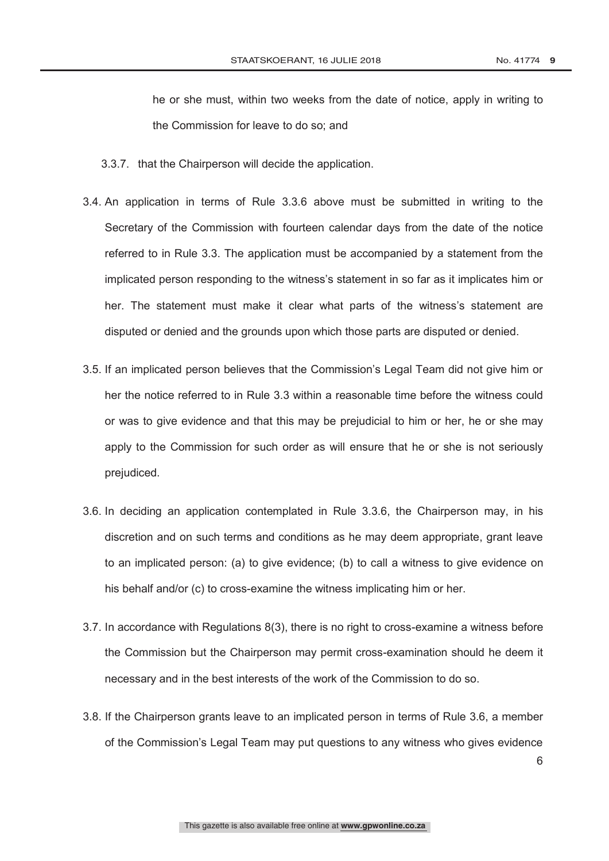he or she must, within two weeks from the date of notice, apply in writing to the Commission for leave to do so; and

- 3.3.7. that the Chairperson will decide the application.
- 3.4. An application in terms of Rule 3.3.6 above must be submitted in writing to the Secretary of the Commission with fourteen calendar days from the date of the notice referred to in Rule 3.3. The application must be accompanied by a statement from the implicated person responding to the witness's statement in so far as it implicates him or her. The statement must make it clear what parts of the witness's statement are disputed or denied and the grounds upon which those parts are disputed or denied.
- 3.5. If an implicated person believes that the Commission's Legal Team did not give him or her the notice referred to in Rule 3.3 within a reasonable time before the witness could or was to give evidence and that this may be prejudicial to him or her, he or she may apply to the Commission for such order as will ensure that he or she is not seriously prejudiced.
- 3.6. In deciding an application contemplated in Rule 3.3.6, the Chairperson may, in his discretion and on such terms and conditions as he may deem appropriate, grant leave to an implicated person: (a) to give evidence; (b) to call a witness to give evidence on his behalf and/or (c) to cross-examine the witness implicating him or her.
- 3.7. In accordance with Regulations 8(3), there is no right to cross-examine a witness before the Commission but the Chairperson may permit cross-examination should he deem it necessary and in the best interests of the work of the Commission to do so.
- 3.8. If the Chairperson grants leave to an implicated person in terms of Rule 3.6, a member of the Commission's Legal Team may put questions to any witness who gives evidence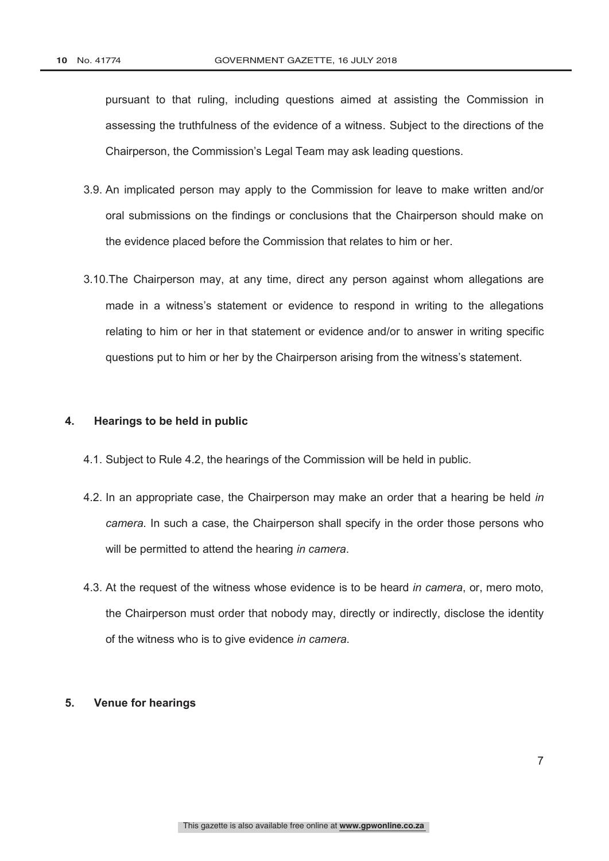pursuant to that ruling, including questions aimed at assisting the Commission in assessing the truthfulness of the evidence of a witness. Subject to the directions of the Chairperson, the Commission's Legal Team may ask leading questions.

- 3.9. An implicated person may apply to the Commission for leave to make written and/or oral submissions on the findings or conclusions that the Chairperson should make on the evidence placed before the Commission that relates to him or her.
- 3.10.The Chairperson may, at any time, direct any person against whom allegations are made in a witness's statement or evidence to respond in writing to the allegations relating to him or her in that statement or evidence and/or to answer in writing specific questions put to him or her by the Chairperson arising from the witness's statement.

#### **4. Hearings to be held in public**

- 4.1. Subject to Rule 4.2, the hearings of the Commission will be held in public.
- 4.2. In an appropriate case, the Chairperson may make an order that a hearing be held *in camera*. In such a case, the Chairperson shall specify in the order those persons who will be permitted to attend the hearing *in camera*.
- 4.3. At the request of the witness whose evidence is to be heard *in camera*, or, mero moto, the Chairperson must order that nobody may, directly or indirectly, disclose the identity of the witness who is to give evidence *in camera*.

#### **5. Venue for hearings**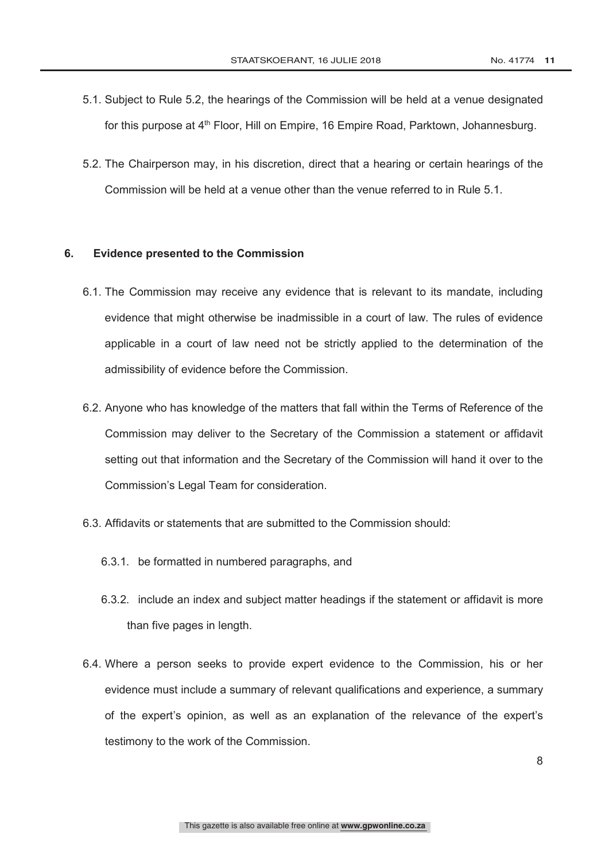- 5.1. Subject to Rule 5.2, the hearings of the Commission will be held at a venue designated for this purpose at 4<sup>th</sup> Floor, Hill on Empire, 16 Empire Road, Parktown, Johannesburg.
- 5.2. The Chairperson may, in his discretion, direct that a hearing or certain hearings of the Commission will be held at a venue other than the venue referred to in Rule 5.1.

#### **6. Evidence presented to the Commission**

- 6.1. The Commission may receive any evidence that is relevant to its mandate, including evidence that might otherwise be inadmissible in a court of law. The rules of evidence applicable in a court of law need not be strictly applied to the determination of the admissibility of evidence before the Commission.
- 6.2. Anyone who has knowledge of the matters that fall within the Terms of Reference of the Commission may deliver to the Secretary of the Commission a statement or affidavit setting out that information and the Secretary of the Commission will hand it over to the Commission's Legal Team for consideration.
- 6.3. Affidavits or statements that are submitted to the Commission should:
	- 6.3.1. be formatted in numbered paragraphs, and
	- 6.3.2. include an index and subject matter headings if the statement or affidavit is more than five pages in length.
- 6.4. Where a person seeks to provide expert evidence to the Commission, his or her evidence must include a summary of relevant qualifications and experience, a summary of the expert's opinion, as well as an explanation of the relevance of the expert's testimony to the work of the Commission.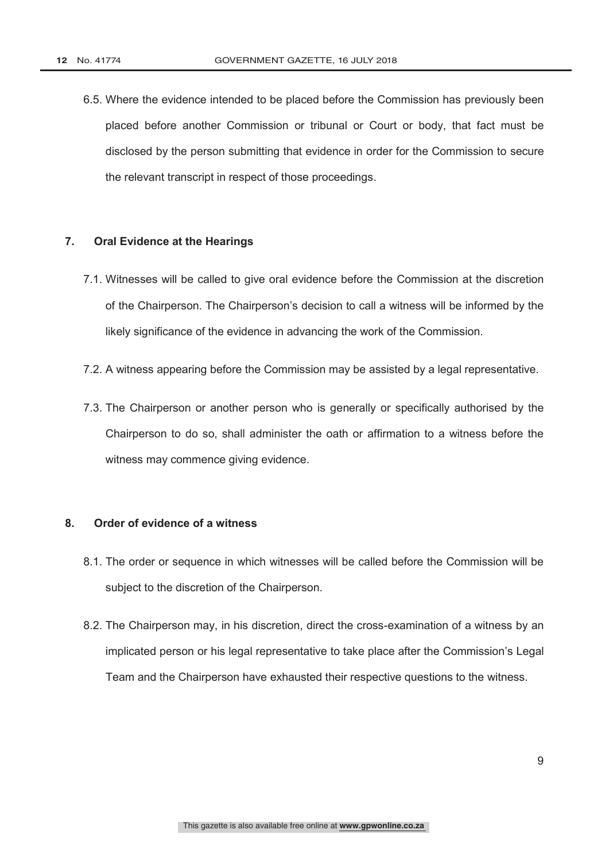6.5. Where the evidence intended to be placed before the Commission has previously been placed before another Commission or tribunal or Court or body, that fact must be disclosed by the person submitting that evidence in order for the Commission to secure the relevant transcript in respect of those proceedings.

#### **7. Oral Evidence at the Hearings**

- 7.1. Witnesses will be called to give oral evidence before the Commission at the discretion of the Chairperson. The Chairperson's decision to call a witness will be informed by the likely significance of the evidence in advancing the work of the Commission.
- 7.2. A witness appearing before the Commission may be assisted by a legal representative.
- 7.3. The Chairperson or another person who is generally or specifically authorised by the Chairperson to do so, shall administer the oath or affirmation to a witness before the witness may commence giving evidence.

#### **8. Order of evidence of a witness**

- 8.1. The order or sequence in which witnesses will be called before the Commission will be subject to the discretion of the Chairperson.
- 8.2. The Chairperson may, in his discretion, direct the cross-examination of a witness by an implicated person or his legal representative to take place after the Commission's Legal Team and the Chairperson have exhausted their respective questions to the witness.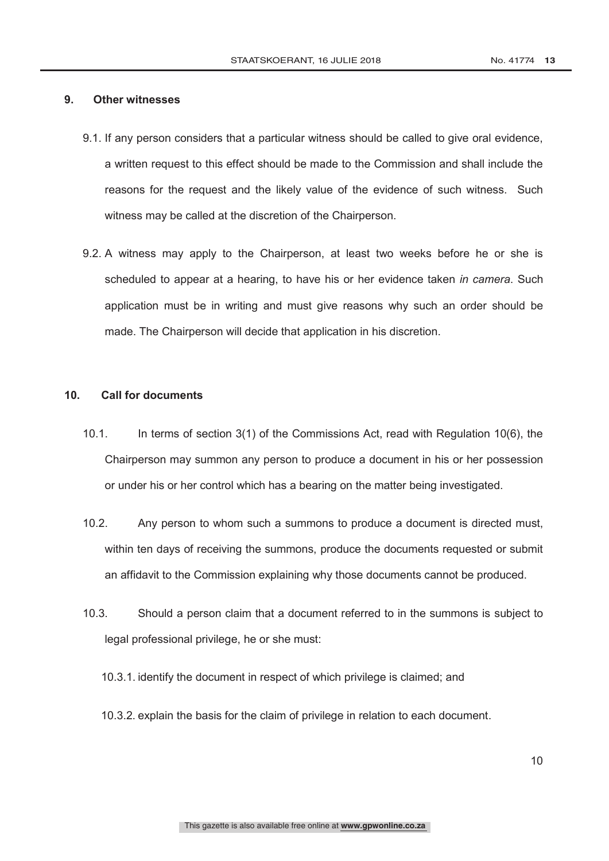#### **9. Other witnesses**

- 9.1. If any person considers that a particular witness should be called to give oral evidence, a written request to this effect should be made to the Commission and shall include the reasons for the request and the likely value of the evidence of such witness. Such witness may be called at the discretion of the Chairperson.
- 9.2. A witness may apply to the Chairperson, at least two weeks before he or she is scheduled to appear at a hearing, to have his or her evidence taken *in camera*. Such application must be in writing and must give reasons why such an order should be made. The Chairperson will decide that application in his discretion.

#### **10. Call for documents**

- 10.1. In terms of section 3(1) of the Commissions Act, read with Regulation 10(6), the Chairperson may summon any person to produce a document in his or her possession or under his or her control which has a bearing on the matter being investigated.
- 10.2. Any person to whom such a summons to produce a document is directed must, within ten days of receiving the summons, produce the documents requested or submit an affidavit to the Commission explaining why those documents cannot be produced.
- 10.3. Should a person claim that a document referred to in the summons is subject to legal professional privilege, he or she must:
	- 10.3.1. identify the document in respect of which privilege is claimed; and
	- 10.3.2. explain the basis for the claim of privilege in relation to each document.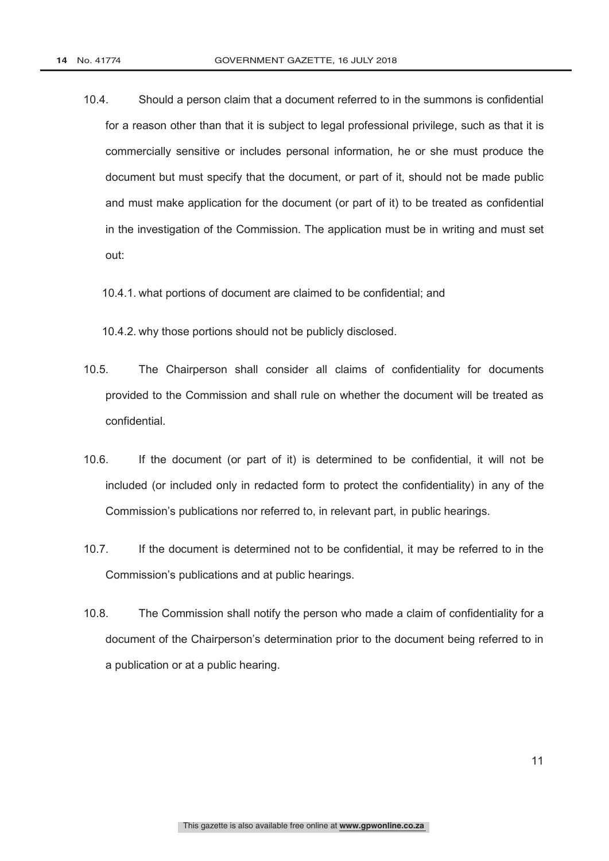10.4. Should a person claim that a document referred to in the summons is confidential for a reason other than that it is subject to legal professional privilege, such as that it is commercially sensitive or includes personal information, he or she must produce the document but must specify that the document, or part of it, should not be made public and must make application for the document (or part of it) to be treated as confidential in the investigation of the Commission. The application must be in writing and must set out:

10.4.1. what portions of document are claimed to be confidential; and

10.4.2. why those portions should not be publicly disclosed.

- 10.5. The Chairperson shall consider all claims of confidentiality for documents provided to the Commission and shall rule on whether the document will be treated as confidential.
- 10.6. If the document (or part of it) is determined to be confidential, it will not be included (or included only in redacted form to protect the confidentiality) in any of the Commission's publications nor referred to, in relevant part, in public hearings.
- 10.7. If the document is determined not to be confidential, it may be referred to in the Commission's publications and at public hearings.
- 10.8. The Commission shall notify the person who made a claim of confidentiality for a document of the Chairperson's determination prior to the document being referred to in a publication or at a public hearing.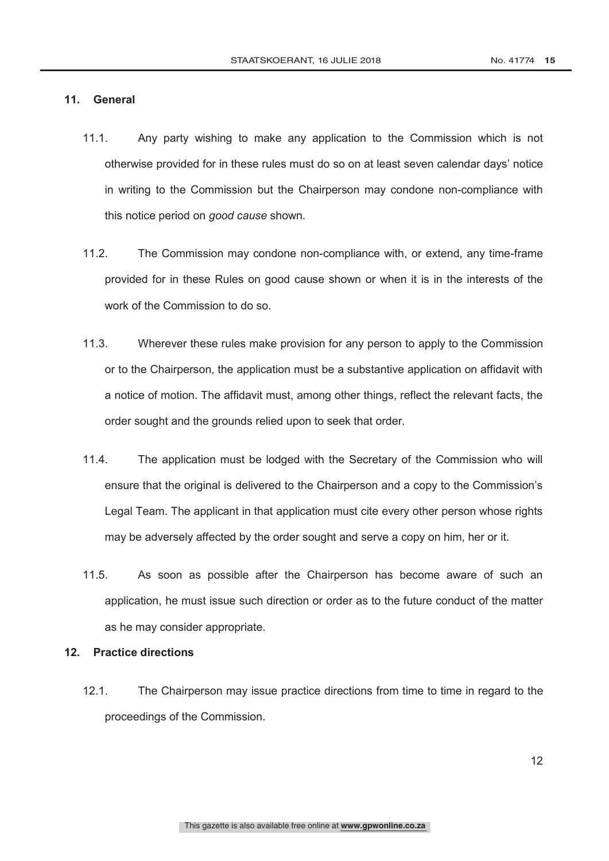#### **11. General**

- 11.1. Any party wishing to make any application to the Commission which is not otherwise provided for in these rules must do so on at least seven calendar days' notice in writing to the Commission but the Chairperson may condone non-compliance with this notice period on *good cause* shown.
- 11.2. The Commission may condone non-compliance with, or extend, any time-frame provided for in these Rules on good cause shown or when it is in the interests of the work of the Commission to do so.
- 11.3. Wherever these rules make provision for any person to apply to the Commission or to the Chairperson, the application must be a substantive application on affidavit with a notice of motion. The affidavit must, among other things, reflect the relevant facts, the order sought and the grounds relied upon to seek that order.
- 11.4. The application must be lodged with the Secretary of the Commission who will ensure that the original is delivered to the Chairperson and a copy to the Commission's Legal Team. The applicant in that application must cite every other person whose rights may be adversely affected by the order sought and serve a copy on him, her or it.
- 11.5. As soon as possible after the Chairperson has become aware of such an application, he must issue such direction or order as to the future conduct of the matter as he may consider appropriate.

#### **12. Practice directions**

12.1. The Chairperson may issue practice directions from time to time in regard to the proceedings of the Commission.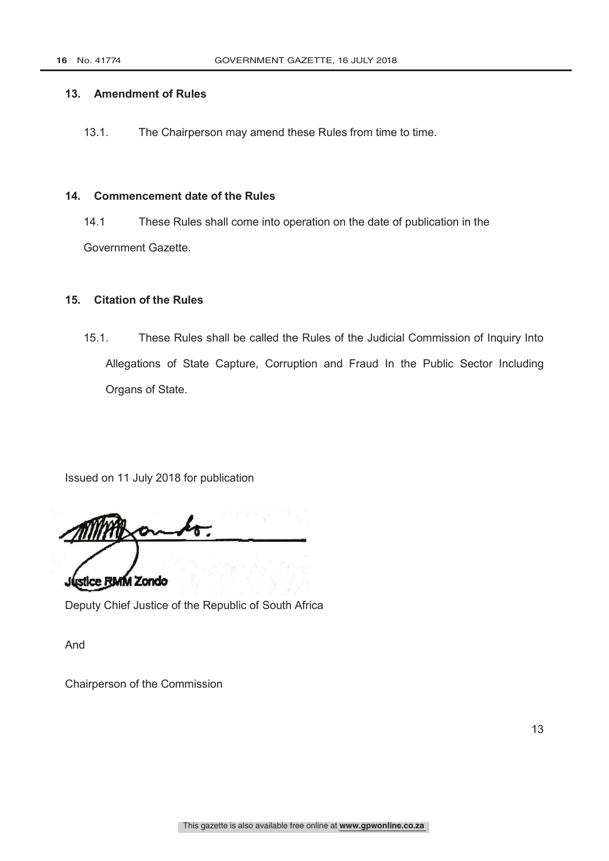#### **13. Amendment of Rules**

13.1. The Chairperson may amend these Rules from time to time.

#### **14. Commencement date of the Rules**

14.1 These Rules shall come into operation on the date of publication in the Government Gazette.

#### **15. Citation of the Rules**

15.1. These Rules shall be called the Rules of the Judicial Commission of Inquiry Into Allegations of State Capture, Corruption and Fraud In the Public Sector Including Organs of State.

Issued on 11 July 2018 for publication

**Justice RIMM Zondo** 

Deputy Chief Justice of the Republic of South Africa

And

Chairperson of the Commission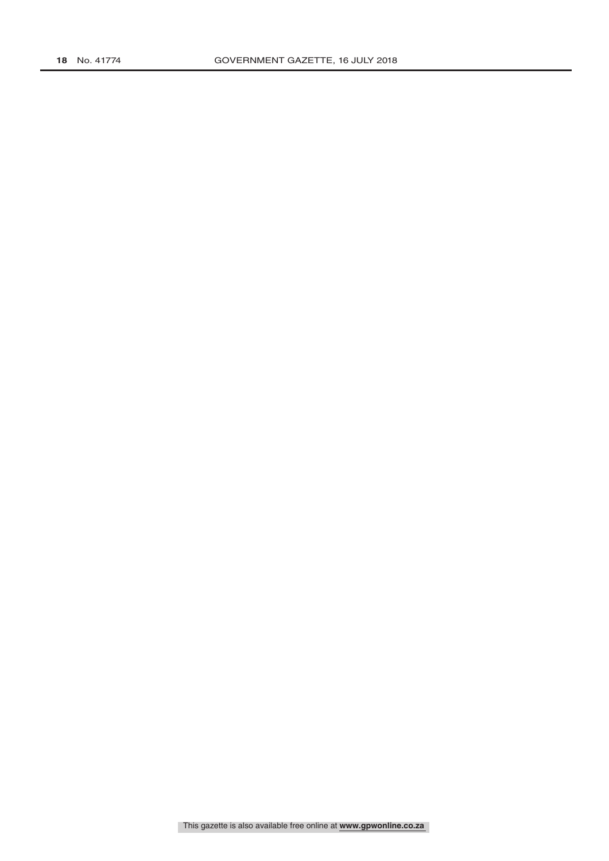This gazette is also available free online at **www.gpwonline.co.za**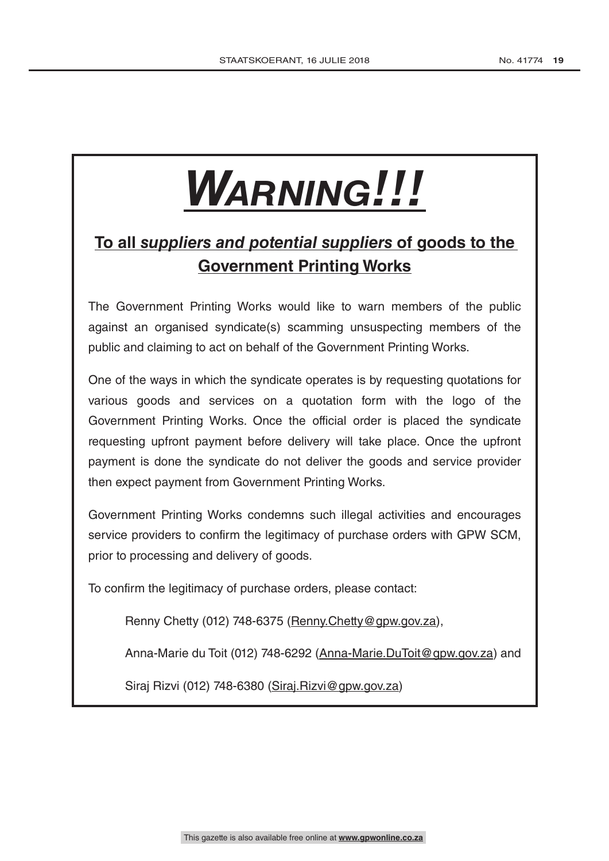# *Warning!!!*

## **To all** *suppliers and potential suppliers* **of goods to the Government Printing Works**

The Government Printing Works would like to warn members of the public against an organised syndicate(s) scamming unsuspecting members of the public and claiming to act on behalf of the Government Printing Works.

One of the ways in which the syndicate operates is by requesting quotations for various goods and services on a quotation form with the logo of the Government Printing Works. Once the official order is placed the syndicate requesting upfront payment before delivery will take place. Once the upfront payment is done the syndicate do not deliver the goods and service provider then expect payment from Government Printing Works.

Government Printing Works condemns such illegal activities and encourages service providers to confirm the legitimacy of purchase orders with GPW SCM, prior to processing and delivery of goods.

To confirm the legitimacy of purchase orders, please contact:

Renny Chetty (012) 748-6375 (Renny.Chetty@gpw.gov.za),

Anna-Marie du Toit (012) 748-6292 (Anna-Marie.DuToit@gpw.gov.za) and

Siraj Rizvi (012) 748-6380 (Siraj. Rizvi@gpw.gov.za)